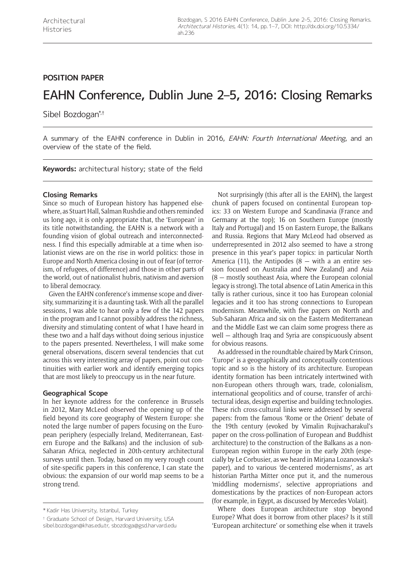# **POSITION PAPER**

# EAHN Conference, Dublin June 2–5, 2016: Closing Remarks

Sibel Bozdogan\*,†

A summary of the EAHN conference in Dublin in 2016, EAHN: Fourth International Meeting, and an overview of the state of the field.

**Keywords:** architectural history; state of the field

# **Closing Remarks**

Since so much of European history has happened elsewhere, as Stuart Hall, Salman Rushdie and others reminded us long ago, it is only appropriate that, the 'European' in its title notwithstanding, the EAHN is a network with a founding vision of global outreach and interconnectedness. I find this especially admirable at a time when isolationist views are on the rise in world politics: those in Europe and North America closing in out of fear (of terrorism, of refugees, of difference) and those in other parts of the world, out of nationalist hubris, nativism and aversion to liberal democracy.

Given the EAHN conference's immense scope and diversity, summarizing it is a daunting task. With all the parallel sessions, I was able to hear only a few of the 142 papers in the program and I cannot possibly address the richness, diversity and stimulating content of what I have heard in these two and a half days without doing serious injustice to the papers presented. Nevertheless, I will make some general observations, discern several tendencies that cut across this very interesting array of papers, point out continuities with earlier work and identify emerging topics that are most likely to preoccupy us in the near future.

# **Geographical Scope**

In her keynote address for the conference in Brussels in 2012, Mary McLeod observed the opening up of the field beyond its core geography of Western Europe: she noted the large number of papers focusing on the European periphery (especially Ireland, Mediterranean, Eastern Europe and the Balkans) and the inclusion of sub-Saharan Africa, neglected in 20th-century architectural surveys until then. Today, based on my very rough count of site-specific papers in this conference, I can state the obvious: the expansion of our world map seems to be a strong trend.

† Graduate School of Design, Harvard University, USA

[sibel.bozdogan@khas.edu.tr](mailto:sibel.bozdogan@khas.edu.tr), [sbozdoga@gsd.harvard.edu](mailto:sbozdoga@gsd.harvard.edu)

Not surprisingly (this after all is the EAHN), the largest chunk of papers focused on continental European topics: 33 on Western Europe and Scandinavia (France and Germany at the top); 16 on Southern Europe (mostly Italy and Portugal) and 15 on Eastern Europe, the Balkans and Russia. Regions that Mary McLeod had observed as underrepresented in 2012 also seemed to have a strong presence in this year's paper topics: in particular North America (11), the Antipodes  $(8 - \text{with a an entire ses-}$ sion focused on Australia and New Zealand) and Asia (8 — mostly southeast Asia, where the European colonial legacy is strong). The total absence of Latin America in this tally is rather curious, since it too has European colonial legacies and it too has strong connections to European modernism. Meanwhile, with five papers on North and Sub-Saharan Africa and six on the Eastern Mediterranean and the Middle East we can claim some progress there as well — although Iraq and Syria are conspicuously absent for obvious reasons.

As addressed in the roundtable chaired by Mark Crinson, 'Europe' is a geographically and conceptually contentious topic and so is the history of its architecture. European identity formation has been intricately intertwined with non-European others through wars, trade, colonialism, international geopolitics and of course, transfer of architectural ideas, design expertise and building technologies. These rich cross-cultural links were addressed by several papers: from the famous 'Rome or the Orient' debate of the 19th century (evoked by Vimalin Rujivacharakul's paper on the cross-pollination of European and Buddhist architecture) to the construction of the Balkans as a non-European region within Europe in the early 20th (especially by Le Corbusier, as we heard in Mirjana Lozanovska's paper), and to various 'de-centered modernisms', as art historian Partha Mitter once put it, and the numerous 'middling modernisms', selective appropriations and domestications by the practices of non-European actors (for example, in Egypt, as discussed by Mercedes Volait).

Where does European architecture stop beyond Europe? What does it borrow from other places? Is it still 'European architecture' or something else when it travels

<sup>\*</sup> Kadir Has University, Istanbul, Turkey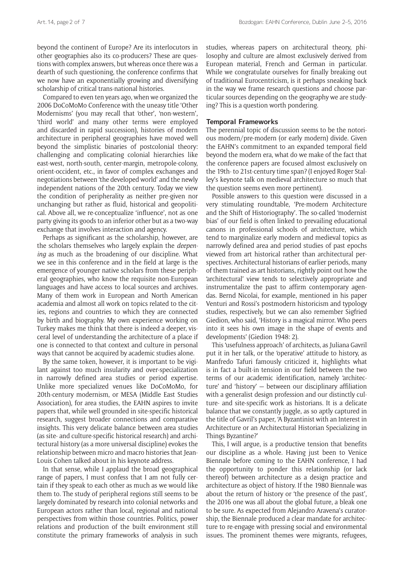beyond the continent of Europe? Are its interlocutors in other geographies also its co-producers? These are questions with complex answers, but whereas once there was a dearth of such questioning, the conference confirms that we now have an exponentially growing and diversifying scholarship of critical trans-national histories.

Compared to even ten years ago, when we organized the 2006 DoCoMoMo Conference with the uneasy title 'Other Modernisms' (you may recall that 'other', 'non-western', 'third world' and many other terms were employed and discarded in rapid succession), histories of modern architecture in peripheral geographies have moved well beyond the simplistic binaries of postcolonial theory: challenging and complicating colonial hierarchies like east-west, north-south, center-margin, metropole-colony, orient-occident, etc., in favor of complex exchanges and negotiations between 'the developed world' and the newly independent nations of the 20th century. Today we view the condition of peripherality as neither pre-given nor unchanging but rather as fluid, historical and geopolitical. Above all, we re-conceptualize 'influence', not as one party giving its goods to an inferior other but as a two-way exchange that involves interaction and agency.

Perhaps as significant as the scholarship, however, are the scholars themselves who largely explain the *deepening* as much as the broadening of our discipline. What we see in this conference and in the field at large is the emergence of younger native scholars from these peripheral geographies, who know the requisite non-European languages and have access to local sources and archives. Many of them work in European and North American academia and almost all work on topics related to the cities, regions and countries to which they are connected by birth and biography. My own experience working on Turkey makes me think that there is indeed a deeper, visceral level of understanding the architecture of a place if one is connected to that context and culture in personal ways that cannot be acquired by academic studies alone.

By the same token, however, it is important to be vigilant against too much insularity and over-specialization in narrowly defined area studies or period expertise. Unlike more specialized venues like DoCoMoMo, for 20th-century modernism, or MESA (Middle East Studies Association), for area studies, the EAHN aspires to invite papers that, while well grounded in site-specific historical research, suggest broader connections and comparative insights. This very delicate balance between area studies (as site- and culture-specific historical research) and architectural history (as a more universal discipline) evokes the relationship between micro and macro histories that Jean-Louis Cohen talked about in his keynote address.

In that sense, while I applaud the broad geographical range of papers, I must confess that I am not fully certain if they speak to each other as much as we would like them to. The study of peripheral regions still seems to be largely dominated by research into colonial networks and European actors rather than local, regional and national perspectives from within those countries. Politics, power relations and production of the built environment still constitute the primary frameworks of analysis in such studies, whereas papers on architectural theory, philosophy and culture are almost exclusively derived from European material, French and German in particular. While we congratulate ourselves for finally breaking out of traditional Eurocentricism, is it perhaps sneaking back in the way we frame research questions and choose particular sources depending on the geography we are studying? This is a question worth pondering.

#### **Temporal Frameworks**

The perennial topic of discussion seems to be the notorious modern/pre-modern (or early modern) divide. Given the EAHN's commitment to an expanded temporal field beyond the modern era, what do we make of the fact that the conference papers are focused almost exclusively on the 19th- to 21st-century time span? (I enjoyed Roger Stalley's keynote talk on medieval architecture so much that the question seems even more pertinent).

Possible answers to this question were discussed in a very stimulating roundtable, 'Pre-modern Architecture and the Shift of Historiography'. The so-called 'modernist bias' of our field is often linked to prevailing educational canons in professional schools of architecture, which tend to marginalize early modern and medieval topics as narrowly defined area and period studies of past epochs viewed from art historical rather than architectural perspectives. Architectural historians of earlier periods, many of them trained as art historians, rightly point out how the 'architectural' view tends to selectively appropriate and instrumentalize the past to affirm contemporary agendas. Bernd Nicolai, for example, mentioned in his paper Venturi and Rossi's postmodern historicism and typology studies, respectively, but we can also remember Sigfried Giedion, who said, 'History is a magical mirror. Who peers into it sees his own image in the shape of events and developments' (Giedion 1948: 2).

This 'usefulness approach' of architects, as Juliana Gavril put it in her talk, or the 'operative' attitude to history, as Manfredo Tafuri famously criticized it, highlights what is in fact a built-in tension in our field between the two terms of our academic identification, namely 'architecture' and 'history' — between our disciplinary affiliation with a generalist design profession and our distinctly culture- and site-specific work as historians. It is a delicate balance that we constantly juggle, as so aptly captured in the title of Gavril's paper, 'A Byzantinist with an Interest in Architecture or an Architectural Historian Specializing in Things Byzantine?'

This, I will argue, is a productive tension that benefits our discipline as a whole. Having just been to Venice Biennale before coming to the EAHN conference, I had the opportunity to ponder this relationship (or lack thereof) between architecture as a design practice and architecture as object of history. If the 1980 Biennale was about the return of history or 'the presence of the past', the 2016 one was all about the global future, a bleak one to be sure. As expected from Alejandro Aravena's curatorship, the Biennale produced a clear mandate for architecture to re-engage with pressing social and environmental issues. The prominent themes were migrants, refugees,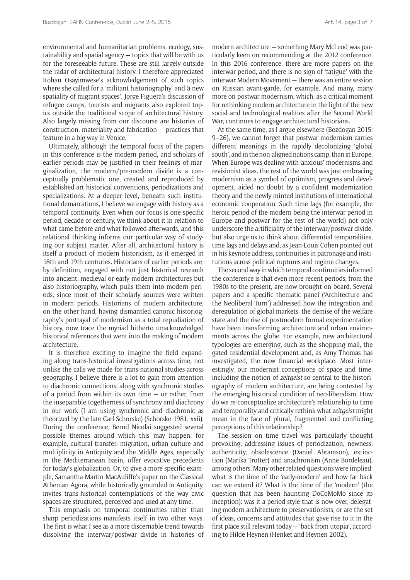environmental and humanitarian problems, ecology, sustainability and spatial agency — topics that will be with us for the foreseeable future. These are still largely outside the radar of architectural history. I therefore appreciated Itohan Osayimwese's acknowledgement of such topics where she called for a 'militant historiography' and 'a new spatiality of migrant spaces'. Jorge Figuera's discussion of refugee camps, tourists and migrants also explored topics outside the traditional scope of architectural history. Also largely missing from our discourse are histories of construction, materiality and fabrication — practices that feature in a big way in Venice.

Ultimately, although the temporal focus of the papers in this conference is the modern period, and scholars of earlier periods may be justified in their feelings of marginalization, the modern/pre-modern divide is a conceptually problematic one, created and reproduced by established art historical conventions, periodizations and specializations. At a deeper level, beneath such institutional demarcations, I believe we engage with history as a temporal continuity. Even when our focus is one specific period, decade or century, we think about it in relation to what came before and what followed afterwards, and this relational thinking informs our particular way of studying our subject matter. After all, architectural history is itself a product of modern historicism, as it emerged in 18th and 19th centuries. Historians of earlier periods are, by definition, engaged with not just historical research into ancient, medieval or early modern architectures but also historiography, which pulls them into modern periods, since most of their scholarly sources were written in modern periods. Historians of modern architecture, on the other hand, having dismantled canonic historiography's portrayal of modernism as a total repudiation of history, now trace the myriad hitherto unacknowledged historical references that went into the making of modern architecture.

It is therefore exciting to imagine the field expanding along trans-historical investigations across time, not unlike the calls we made for trans-national studies across geography. I believe there is a lot to gain from attention to diachronic connections, along with synchronic studies of a period from within its own time  $-$  or rather, from the inseparable togetherness of synchrony and diachrony in our work (I am using synchronic and diachronic as theorized by the late Carl Schorske) (Schorske 1981: xxii). During the conference, Bernd Nicolai suggested several possible themes around which this may happen: for example, cultural transfer, migration, urban culture and multiplicity in Antiquity and the Middle Ages, especially in the Mediterranean basin, offer evocative precedents for today's globalization. Or, to give a more specific example, Samantha Martin MacAuliffe's paper on the Classical Athenian Agora, while historically grounded in Antiquity, invites trans-historical contemplations of the way civic spaces are structured, perceived and used at any time.

This emphasis on temporal continuities rather than sharp periodizations manifests itself in two other ways. The first is what I see as a more discernable trend towards dissolving the interwar/postwar divide in histories of

modern architecture — something Mary McLeod was particularly keen on recommending at the 2012 conference. In this 2016 conference, there are more papers on the interwar period, and there is no sign of 'fatigue' with the interwar Modern Movement — there was an entire session on Russian avant-garde, for example. And many, many more on postwar modernism, which, as a critical moment for rethinking modern architecture in the light of the new social and technological realities after the Second World War, continues to engage architectural historians.

At the same time, as I argue elsewhere (Bozdogan 2015: 9–26), we cannot forget that postwar modernism carries different meanings in the rapidly decolonizing 'global south', and in the non-aligned nations camp, than in Europe. When Europe was dealing with 'anxious' modernisms and revisionist ideas, the rest of the world was just embracing modernism as a symbol of optimism, progress and development, aided no doubt by a confident modernization theory and the newly minted institutions of international economic cooperation. Such time lags (for example, the heroic period of the modern being the interwar period in Europe and postwar for the rest of the world) not only underscore the artificiality of the interwar/postwar divide, but also urge us to think about differential temporalities, time lags and delays and, as Jean-Louis Cohen pointed out in his keynote address, continuities in patronage and institutions across political ruptures and regime changes.

The second way in which temporal continuities informed the conference is that even more recent periods, from the 1980s to the present, are now brought on board. Several papers and a specific thematic panel ('Architecture and the Neoliberal Turn') addressed how the integration and deregulation of global markets, the demise of the welfare state and the rise of postmodern formal experimentation have been transforming architecture and urban environments across the globe. For example, new architectural typologies are emerging, such as the shopping mall, the gated residential development and, as Amy Thomas has investigated, the new financial workplace. Most interestingly, our modernist conceptions of space and time, including the notion of *zeitgeist* so central to the historiography of modern architecture, are being contested by the emerging historical condition of neo-liberalism. How do we re-conceptualize architecture's relationship to time and temporality and critically rethink what *zeitgeist* might mean in the face of plural, fragmented and conflicting perceptions of this relationship?

The session on time travel was particularly thought provoking, addressing issues of periodization, newness, authenticity, obsolescence (Daniel Abramson), extinction (Marika Trotter) and anachronism (Anne Bordeleau), among others. Many other related questions were implied: what is the time of the 'early-modern' and how far back can we extend it? What is the time of the 'modern' (the question that has been haunting DoCoMoMo since its inception): was it a period style that is now over, delegating modern architecture to preservationists, or are the set of ideas, concerns and attitudes that gave rise to it in the first place still relevant today — 'back from utopia', according to Hilde Heynen (Henket and Heynen 2002).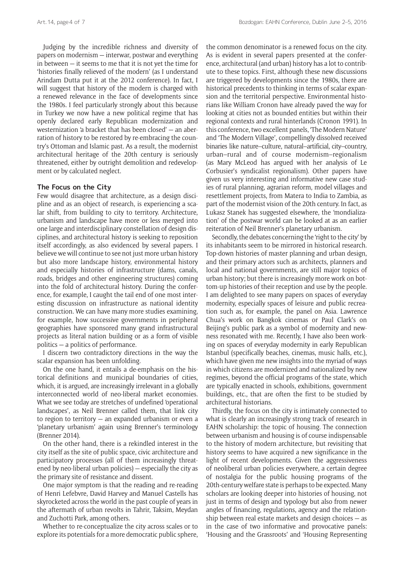Judging by the incredible richness and diversity of papers on modernism — interwar, postwar and everything in between — it seems to me that it is not yet the time for 'histories finally relieved of the modern' (as I understand Arindam Dutta put it at the 2012 conference). In fact, I will suggest that history of the modern is charged with a renewed relevance in the face of developments since the 1980s. I feel particularly strongly about this because in Turkey we now have a new political regime that has openly declared early Republican modernization and westernization 'a bracket that has been closed' — an aberration of history to be restored by re-embracing the country's Ottoman and Islamic past. As a result, the modernist architectural heritage of the 20th century is seriously threatened, either by outright demolition and redevelopment or by calculated neglect.

#### **The Focus on the City**

Few would disagree that architecture, as a design discipline and as an object of research, is experiencing a scalar shift, from building to city to territory. Architecture, urbanism and landscape have more or less merged into one large and interdisciplinary constellation of design disciplines, and architectural history is seeking to reposition itself accordingly, as also evidenced by several papers. I believe we will continue to see not just more urban history but also more landscape history, environmental history and especially histories of infrastructure (dams, canals, roads, bridges and other engineering structures) coming into the fold of architectural history. During the conference, for example, I caught the tail end of one most interesting discussion on infrastructure as national identity construction. We can have many more studies examining, for example, how successive governments in peripheral geographies have sponsored many grand infrastructural projects as literal nation building or as a form of visible politics — a politics of performance.

I discern two contradictory directions in the way the scalar expansion has been unfolding.

On the one hand, it entails a de-emphasis on the historical definitions and municipal boundaries of cities, which, it is argued, are increasingly irrelevant in a globally interconnected world of neo-liberal market economies. What we see today are stretches of undefined 'operational landscapes', as Neil Brenner called them, that link city to region to territory — an expanded urbanism or even a 'planetary urbanism' again using Brenner's terminology (Brenner 2014).

On the other hand, there is a rekindled interest in the city itself as the site of public space, civic architecture and participatory processes (all of them increasingly threatened by neo-liberal urban policies) — especially the city as the primary site of resistance and dissent.

One major symptom is that the reading and re-reading of Henri Lefebvre, David Harvey and Manuel Castells has skyrocketed across the world in the past couple of years in the aftermath of urban revolts in Tahrir, Taksim, Meydan and Zuchotti Park, among others.

Whether to re-conceptualize the city across scales or to explore its potentials for a more democratic public sphere, the common denominator is a renewed focus on the city. As is evident in several papers presented at the conference, architectural (and urban) history has a lot to contribute to these topics. First, although these new discussions are triggered by developments since the 1980s, there are historical precedents to thinking in terms of scalar expansion and the territorial perspective. Environmental historians like William Cronon have already paved the way for looking at cities not as bounded entities but within their regional contexts and rural hinterlands (Cronon 1991). In this conference, two excellent panels, 'The Modern Nature' and 'The Modern Village', compellingly dissolved received binaries like nature–culture, natural–artificial, city–country, urban–rural and of course modernism–regionalism (as Mary McLeod has argued with her analysis of Le Corbusier's syndicalist regionalism). Other papers have given us very interesting and informative new case studies of rural planning, agrarian reform, model villages and resettlement projects, from Matera to India to Zambia, as part of the modernist vision of the 20th century. In fact, as Lukasz Stanek has suggested elsewhere, the 'mondialization' of the postwar world can be looked at as an earlier reiteration of Neil Brenner's planetary urbanism.

Secondly, the debates concerning the 'right to the city' by its inhabitants seem to be mirrored in historical research. Top-down histories of master planning and urban design, and their primary actors such as architects, planners and local and national governments, are still major topics of urban history; but there is increasingly more work on bottom-up histories of their reception and use by the people. I am delighted to see many papers on spaces of everyday modernity, especially spaces of leisure and public recreation such as, for example, the panel on Asia. Lawrence Chua's work on Bangkok cinemas or Paul Clark's on Beijing's public park as a symbol of modernity and newness resonated with me. Recently, I have also been working on spaces of everyday modernity in early Republican Istanbul (specifically beaches, cinemas, music halls, etc.), which have given me new insights into the myriad of ways in which citizens are modernized and nationalized by new regimes, beyond the official programs of the state, which are typically enacted in schools, exhibitions, government buildings, etc., that are often the first to be studied by architectural historians.

Thirdly, the focus on the city is intimately connected to what is clearly an increasingly strong track of research in EAHN scholarship: the topic of housing. The connection between urbanism and housing is of course indispensable to the history of modern architecture, but revisiting that history seems to have acquired a new significance in the light of recent developments. Given the aggressiveness of neoliberal urban policies everywhere, a certain degree of nostalgia for the public housing programs of the 20th-century welfare state is perhaps to be expected. Many scholars are looking deeper into histories of housing, not just in terms of design and typology but also from newer angles of financing, regulations, agency and the relationship between real estate markets and design choices — as in the case of two informative and provocative panels: 'Housing and the Grassroots' and 'Housing Representing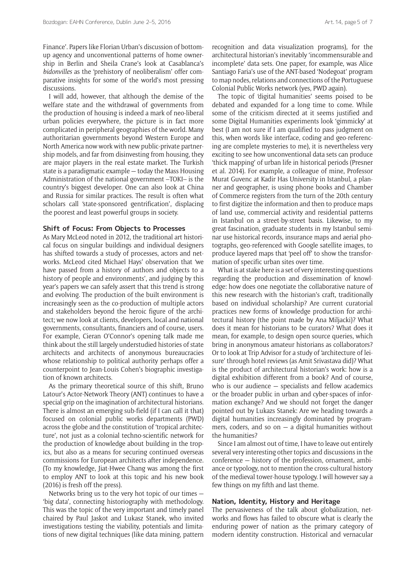Finance'. Papers like Florian Urban's discussion of bottomup agency and unconventional patterns of home ownership in Berlin and Sheila Crane's look at Casablanca's *bidonvilles* as the 'prehistory of neoliberalism' offer comparative insights for some of the world's most pressing discussions.

I will add, however, that although the demise of the welfare state and the withdrawal of governments from the production of housing is indeed a mark of neo-liberal urban policies everywhere, the picture is in fact more complicated in peripheral geographies of the world. Many authoritarian governments beyond Western Europe and North America now work with new public-private partnership models, and far from disinvesting from housing, they are major players in the real estate market. The Turkish state is a paradigmatic example — today the Mass Housing Administration of the national government –TOKI– is the country's biggest developer. One can also look at China and Russia for similar practices. The result is often what scholars call 'state-sponsored gentrification', displacing the poorest and least powerful groups in society.

### **Shift of Focus: From Objects to Processes**

As Mary McLeod noted in 2012, the traditional art historical focus on singular buildings and individual designers has shifted towards a study of processes, actors and networks. McLeod cited Michael Hays' observation that 'we have passed from a history of authors and objects to a history of people and environments', and judging by this year's papers we can safely assert that this trend is strong and evolving. The production of the built environment is increasingly seen as the co-production of multiple actors and stakeholders beyond the heroic figure of the architect; we now look at clients, developers, local and national governments, consultants, financiers and of course, users. For example, Cieran O'Connor's opening talk made me think about the still largely understudied histories of state architects and architects of anonymous bureaucracies whose relationship to political authority perhaps offer a counterpoint to Jean-Louis Cohen's biographic investigation of known architects.

As the primary theoretical source of this shift, Bruno Latour's Actor-Network Theory (ANT) continues to have a special grip on the imagination of architectural historians. There is almost an emerging sub-field (if I can call it that) focused on colonial public works departments (PWD) across the globe and the constitution of 'tropical architecture', not just as a colonial techno-scientific network for the production of knowledge about building in the tropics, but also as a means for securing continued overseas commissions for European architects after independence. (To my knowledge, Jiat-Hwee Chang was among the first to employ ANT to look at this topic and his new book (2016) is fresh off the press).

Networks bring us to the very hot topic of our times — 'big data', connecting historiography with methodology. This was the topic of the very important and timely panel chaired by Paul Jaskot and Lukasz Stanek, who invited investigations testing the viability, potentials and limitations of new digital techniques (like data mining, pattern recognition and data visualization programs), for the architectural historian's inevitably 'incommensurable and incomplete' data sets. One paper, for example, was Alice Santiago Faria's use of the ANT-based 'Nodegoat' program to map nodes, relations and connections of the Portuguese Colonial Public Works network (yes, PWD again).

The topic of 'digital humanities' seems poised to be debated and expanded for a long time to come. While some of the criticism directed at it seems justified and some Digital Humanities experiments look 'gimmicky' at best (I am not sure if I am qualified to pass judgment on this, when words like interface, coding and geo-referencing are complete mysteries to me), it is nevertheless very exciting to see how unconventional data sets can produce 'thick mapping' of urban life in historical periods (Presner et al. 2014). For example, a colleague of mine, Professor Murat Guvenc at Kadir Has University in Istanbul, a planner and geographer, is using phone books and Chamber of Commerce registers from the turn of the 20th century to first digitize the information and then to produce maps of land use, commercial activity and residential patterns in Istanbul on a street-by-street basis. Likewise, to my great fascination, graduate students in my Istanbul seminar use historical records, insurance maps and aerial photographs, geo-referenced with Google satellite images, to produce layered maps that 'peel off' to show the transformation of specific urban sites over time.

What is at stake here is a set of very interesting questions regarding the production and dissemination of knowledge: how does one negotiate the collaborative nature of this new research with the historian's craft, traditionally based on individual scholarship? Are current curatorial practices new forms of knowledge production for architectural history (the point made by Ana Miljacki)? What does it mean for historians to be curators? What does it mean, for example, to design open source queries, which bring in anonymous amateur historians as collaborators? Or to look at Trip Advisor for a study of 'architecture of leisure' through hotel reviews (as Amit Srivastava did)? What is the product of architectural historian's work: how is a digital exhibition different from a book? And of course, who is our audience — specialists and fellow academics or the broader public in urban and cyber-spaces of information exchange? And we should not forget the danger pointed out by Lukazs Stanek: Are we heading towards a digital humanities increasingly dominated by programmers, coders, and so on  $-$  a digital humanities without the humanities?

Since I am almost out of time, I have to leave out entirely several very interesting other topics and discussions in the conference — history of the profession, ornament, ambiance or typology, not to mention the cross-cultural history of the medieval tower-house typology. I will however say a few things on my fifth and last theme.

#### **Nation, Identity, History and Heritage**

The pervasiveness of the talk about globalization, networks and flows has failed to obscure what is clearly the enduring power of nation as the primary category of modern identity construction. Historical and vernacular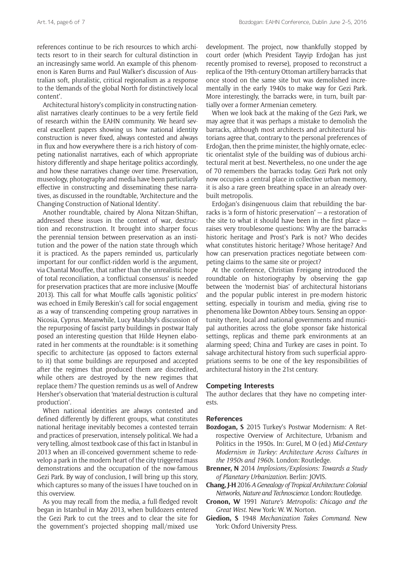references continue to be rich resources to which architects resort to in their search for cultural distinction in an increasingly same world. An example of this phenomenon is Karen Burns and Paul Walker's discussion of Australian soft, pluralistic, critical regionalism as a response to the 'demands of the global North for distinctively local content'.

Architectural history's complicity in constructing nationalist narratives clearly continues to be a very fertile field of research within the EAHN community. We heard several excellent papers showing us how national identity construction is never fixed, always contested and always in flux and how everywhere there is a rich history of competing nationalist narratives, each of which appropriate history differently and shape heritage politics accordingly, and how these narratives change over time. Preservation, museology, photography and media have been particularly effective in constructing and disseminating these narratives, as discussed in the roundtable, 'Architecture and the Changing Construction of National Identity'.

Another roundtable, chaired by Alona Nitzan-Shiftan, addressed these issues in the context of war, destruction and reconstruction. It brought into sharper focus the perennial tension between preservation as an institution and the power of the nation state through which it is practiced. As the papers reminded us, particularly important for our conflict-ridden world is the argument, via Chantal Mouffee, that rather than the unrealistic hope of total reconciliation, a 'conflictual consensus' is needed for preservation practices that are more inclusive (Mouffe 2013). This call for what Mouffe calls 'agonistic politics' was echoed in Emily Bereskin's call for social engagement as a way of transcending competing group narratives in Nicosia, Cyprus. Meanwhile, Lucy Maulsby's discussion of the repurposing of fascist party buildings in postwar Italy posed an interesting question that Hilde Heynen elaborated in her comments at the roundtable: is it something specific to architecture (as opposed to factors external to it) that some buildings are repurposed and accepted after the regimes that produced them are discredited, while others are destroyed by the new regimes that replace them? The question reminds us as well of Andrew Hersher's observation that 'material destruction is cultural production'.

When national identities are always contested and defined differently by different groups, what constitutes national heritage inevitably becomes a contested terrain and practices of preservation, intensely political. We had a very telling, almost textbook case of this fact in Istanbul in 2013 when an ill-conceived government scheme to redevelop a park in the modern heart of the city triggered mass demonstrations and the occupation of the now-famous Gezi Park. By way of conclusion, I will bring up this story, which captures so many of the issues I have touched on in this overview.

As you may recall from the media, a full-fledged revolt began in Istanbul in May 2013, when bulldozers entered the Gezi Park to cut the trees and to clear the site for the government's projected shopping mall/mixed use development. The project, now thankfully stopped by court order (which President Tayyip Erdoğan has just recently promised to reverse), proposed to reconstruct a replica of the 19th-century Ottoman artillery barracks that once stood on the same site but was demolished incrementally in the early 1940s to make way for Gezi Park. More interestingly, the barracks were, in turn, built partially over a former Armenian cemetery.

When we look back at the making of the Gezi Park, we may agree that it was perhaps a mistake to demolish the barracks, although most architects and architectural historians agree that, contrary to the personal preferences of Erdoğan, then the prime minister, the highly ornate, eclectic orientalist style of the building was of dubious architectural merit at best. Nevertheless, no one under the age of 70 remembers the barracks today. Gezi Park not only now occupies a central place in collective urban memory, it is also a rare green breathing space in an already overbuilt metropolis.

Erdoğan's disingenuous claim that rebuilding the barracks is 'a form of historic preservation' — a restoration of the site to what it should have been in the first place raises very troublesome questions: Why are the barracks historic heritage and Prost's Park is not? Who decides what constitutes historic heritage? Whose heritage? And how can preservation practices negotiate between competing claims to the same site or project?

At the conference, Christian Freigang introduced the roundtable on historiography by observing the gap between the 'modernist bias' of architectural historians and the popular public interest in pre-modern historic setting, especially in tourism and media, giving rise to phenomena like Downton Abbey tours. Sensing an opportunity there, local and national governments and municipal authorities across the globe sponsor fake historical settings, replicas and theme park environments at an alarming speed; China and Turkey are cases in point. To salvage architectural history from such superficial appropriations seems to be one of the key responsibilities of architectural history in the 21st century.

#### **Competing Interests**

The author declares that they have no competing interests.

#### **References**

- **Bozdogan, S** 2015 Turkey's Postwar Modernism: A Retrospective Overview of Architecture, Urbanism and Politics in the 1950s. In: Gurel, M O (ed.) *Mid-Century Modernism in Turkey: Architecture Across Cultures in the 1950s and 1960s*. London: Routledge.
- **Brenner, N** 2014 *Implosions/Explosions: Towards a Study of Planetary Urbanization.* Berlin: JOVIS.
- **Chang, J-H** 2016 *A Genealogy of Tropical Architecture: Colonial Networks, Nature and Technoscience.* London: Routledge.
- **Cronon, W** 1991 *Nature's Metropolis: Chicago and the Great West*. New York: W. W. Norton.
- **Giedion, S** 1948 *Mechanization Takes Command*. New York: Oxford University Press.